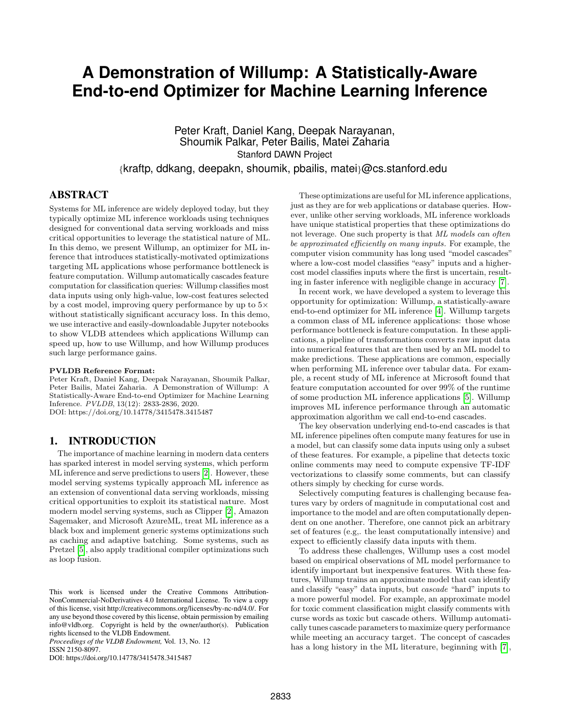# **A Demonstration of Willump: A Statistically-Aware End-to-end Optimizer for Machine Learning Inference**

Peter Kraft, Daniel Kang, Deepak Narayanan, Shoumik Palkar, Peter Bailis, Matei Zaharia Stanford DAWN Project

{kraftp, ddkang, deepakn, shoumik, pbailis, matei}@cs.stanford.edu

## ABSTRACT

Systems for ML inference are widely deployed today, but they typically optimize ML inference workloads using techniques designed for conventional data serving workloads and miss critical opportunities to leverage the statistical nature of ML. In this demo, we present Willump, an optimizer for ML inference that introduces statistically-motivated optimizations targeting ML applications whose performance bottleneck is feature computation. Willump automatically cascades feature computation for classification queries: Willump classifies most data inputs using only high-value, low-cost features selected by a cost model, improving query performance by up to 5× without statistically significant accuracy loss. In this demo, we use interactive and easily-downloadable Jupyter notebooks to show VLDB attendees which applications Willump can speed up, how to use Willump, and how Willump produces such large performance gains.

#### PVLDB Reference Format:

Peter Kraft, Daniel Kang, Deepak Narayanan, Shoumik Palkar, Peter Bailis, Matei Zaharia. A Demonstration of Willump: A Statistically-Aware End-to-end Optimizer for Machine Learning Inference. PVLDB, 13(12): 2833-2836, 2020. DOI: https://doi.org/10.14778/3415478.3415487

#### 1. INTRODUCTION

The importance of machine learning in modern data centers has sparked interest in model serving systems, which perform ML inference and serve predictions to users [\[2\]](#page-3-0). However, these model serving systems typically approach ML inference as an extension of conventional data serving workloads, missing critical opportunities to exploit its statistical nature. Most modern model serving systems, such as Clipper [\[2\]](#page-3-0), Amazon Sagemaker, and Microsoft AzureML, treat ML inference as a black box and implement generic systems optimizations such as caching and adaptive batching. Some systems, such as Pretzel [\[5\]](#page-3-1), also apply traditional compiler optimizations such as loop fusion.

*Proceedings of the VLDB Endowment,* Vol. 13, No. 12 ISSN 2150-8097.

These optimizations are useful for ML inference applications, just as they are for web applications or database queries. However, unlike other serving workloads, ML inference workloads have unique statistical properties that these optimizations do not leverage. One such property is that ML models can often be approximated efficiently on many inputs. For example, the computer vision community has long used "model cascades" where a low-cost model classifies "easy" inputs and a highercost model classifies inputs where the first is uncertain, resulting in faster inference with negligible change in accuracy [\[7\]](#page-3-2).

In recent work, we have developed a system to leverage this opportunity for optimization: Willump, a statistically-aware end-to-end optimizer for ML inference [\[4\]](#page-3-3). Willump targets a common class of ML inference applications: those whose performance bottleneck is feature computation. In these applications, a pipeline of transformations converts raw input data into numerical features that are then used by an ML model to make predictions. These applications are common, especially when performing ML inference over tabular data. For example, a recent study of ML inference at Microsoft found that feature computation accounted for over 99% of the runtime of some production ML inference applications [\[5\]](#page-3-1). Willump improves ML inference performance through an automatic approximation algorithm we call end-to-end cascades.

The key observation underlying end-to-end cascades is that ML inference pipelines often compute many features for use in a model, but can classify some data inputs using only a subset of these features. For example, a pipeline that detects toxic online comments may need to compute expensive TF-IDF vectorizations to classify some comments, but can classify others simply by checking for curse words.

Selectively computing features is challenging because features vary by orders of magnitude in computational cost and importance to the model and are often computationally dependent on one another. Therefore, one cannot pick an arbitrary set of features (e.g,. the least computationally intensive) and expect to efficiently classify data inputs with them.

To address these challenges, Willump uses a cost model based on empirical observations of ML model performance to identify important but inexpensive features. With these features, Willump trains an approximate model that can identify and classify "easy" data inputs, but cascade "hard" inputs to a more powerful model. For example, an approximate model for toxic comment classification might classify comments with curse words as toxic but cascade others. Willump automatically tunes cascade parameters to maximize query performance while meeting an accuracy target. The concept of cascades has a long history in the ML literature, beginning with [\[7\]](#page-3-2),

This work is licensed under the Creative Commons Attribution-NonCommercial-NoDerivatives 4.0 International License. To view a copy of this license, visit http://creativecommons.org/licenses/by-nc-nd/4.0/. For any use beyond those covered by this license, obtain permission by emailing info@vldb.org. Copyright is held by the owner/author(s). Publication rights licensed to the VLDB Endowment.

DOI: https://doi.org/10.14778/3415478.3415487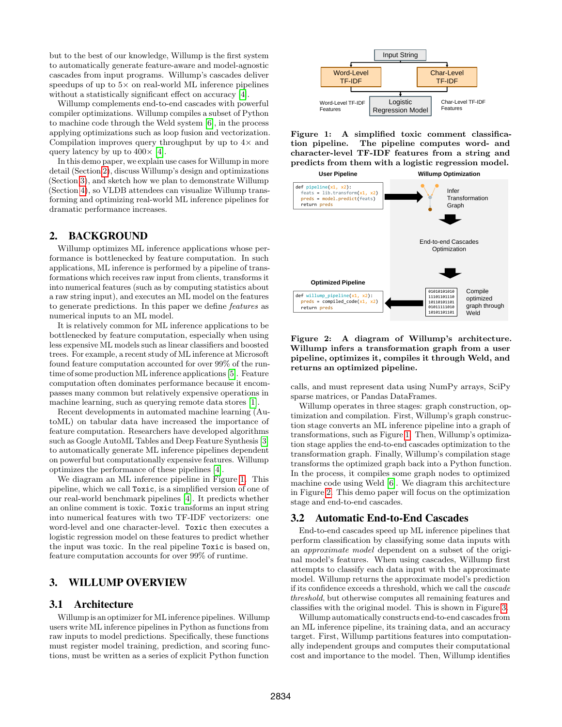but to the best of our knowledge, Willump is the first system to automatically generate feature-aware and model-agnostic cascades from input programs. Willump's cascades deliver speedups of up to  $5\times$  on real-world ML inference pipelines without a statistically significant effect on accuracy [\[4\]](#page-3-3).

Willump complements end-to-end cascades with powerful compiler optimizations. Willump compiles a subset of Python to machine code through the Weld system [\[6\]](#page-3-4), in the process applying optimizations such as loop fusion and vectorization. Compilation improves query throughput by up to  $4\times$  and query latency by up to  $400 \times [4]$  $400 \times [4]$ .

In this demo paper, we explain use cases for Willump in more detail (Section [2\)](#page-1-0), discuss Willump's design and optimizations (Section [3\)](#page-1-1), and sketch how we plan to demonstrate Willump (Section [4\)](#page-2-0), so VLDB attendees can visualize Willump transforming and optimizing real-world ML inference pipelines for dramatic performance increases.

#### <span id="page-1-0"></span>2. BACKGROUND

Willump optimizes ML inference applications whose performance is bottlenecked by feature computation. In such applications, ML inference is performed by a pipeline of transformations which receives raw input from clients, transforms it into numerical features (such as by computing statistics about a raw string input), and executes an ML model on the features to generate predictions. In this paper we define features as numerical inputs to an ML model.

It is relatively common for ML inference applications to be bottlenecked by feature computation, especially when using less expensive ML models such as linear classifiers and boosted trees. For example, a recent study of ML inference at Microsoft found feature computation accounted for over 99% of the runtime of some production ML inference applications [\[5\]](#page-3-1). Feature computation often dominates performance because it encompasses many common but relatively expensive operations in machine learning, such as querying remote data stores [\[1\]](#page-3-5).

Recent developments in automated machine learning (AutoML) on tabular data have increased the importance of feature computation. Researchers have developed algorithms such as Google AutoML Tables and Deep Feature Synthesis [\[3\]](#page-3-6) to automatically generate ML inference pipelines dependent on powerful but computationally expensive features. Willump optimizes the performance of these pipelines [\[4\]](#page-3-3).

We diagram an ML inference pipeline in Figure [1.](#page-1-2) This pipeline, which we call Toxic, is a simplified version of one of our real-world benchmark pipelines [\[4\]](#page-3-3). It predicts whether an online comment is toxic. Toxic transforms an input string into numerical features with two TF-IDF vectorizers: one word-level and one character-level. Toxic then executes a logistic regression model on these features to predict whether the input was toxic. In the real pipeline Toxic is based on, feature computation accounts for over 99% of runtime.

## <span id="page-1-1"></span>3. WILLUMP OVERVIEW

#### 3.1 Architecture

Willump is an optimizer for ML inference pipelines. Willump users write ML inference pipelines in Python as functions from raw inputs to model predictions. Specifically, these functions must register model training, prediction, and scoring functions, must be written as a series of explicit Python function



<span id="page-1-2"></span>Figure 1: A simplified toxic comment classification pipeline. The pipeline computes word- and character-level TF-IDF features from a string and predicts from them with a logistic regression model.



<span id="page-1-3"></span>Figure 2: A diagram of Willump's architecture. Willump infers a transformation graph from a user pipeline, optimizes it, compiles it through Weld, and returns an optimized pipeline.

calls, and must represent data using NumPy arrays, SciPy sparse matrices, or Pandas DataFrames.

Willump operates in three stages: graph construction, optimization and compilation. First, Willump's graph construction stage converts an ML inference pipeline into a graph of transformations, such as Figure [1.](#page-1-2) Then, Willump's optimization stage applies the end-to-end cascades optimization to the transformation graph. Finally, Willump's compilation stage transforms the optimized graph back into a Python function. In the process, it compiles some graph nodes to optimized machine code using Weld [\[6\]](#page-3-4). We diagram this architecture in Figure [2.](#page-1-3) This demo paper will focus on the optimization stage and end-to-end cascades.

#### 3.2 Automatic End-to-End Cascades

End-to-end cascades speed up ML inference pipelines that perform classification by classifying some data inputs with an approximate model dependent on a subset of the original model's features. When using cascades, Willump first attempts to classify each data input with the approximate model. Willump returns the approximate model's prediction if its confidence exceeds a threshold, which we call the cascade threshold, but otherwise computes all remaining features and classifies with the original model. This is shown in Figure [3.](#page-2-1)

Willump automatically constructs end-to-end cascades from an ML inference pipeline, its training data, and an accuracy target. First, Willump partitions features into computationally independent groups and computes their computational cost and importance to the model. Then, Willump identifies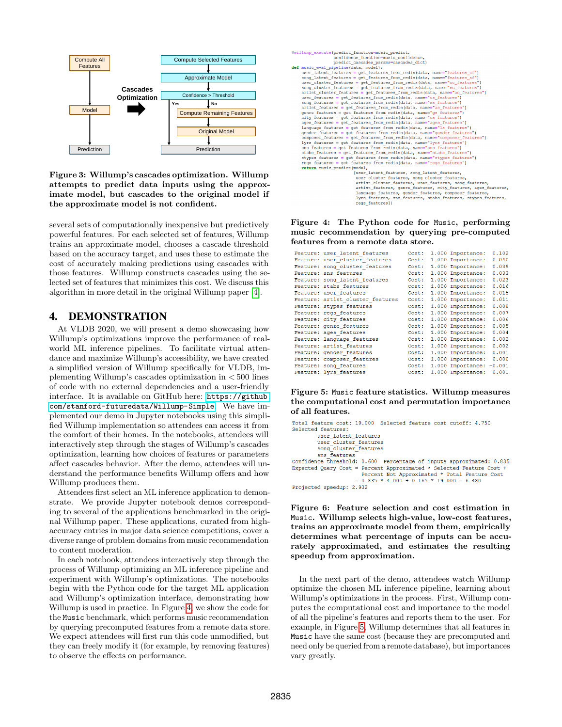

<span id="page-2-1"></span>Figure 3: Willump's cascades optimization. Willump attempts to predict data inputs using the approximate model, but cascades to the original model if the approximate model is not confident.

several sets of computationally inexpensive but predictively powerful features. For each selected set of features, Willump trains an approximate model, chooses a cascade threshold based on the accuracy target, and uses these to estimate the cost of accurately making predictions using cascades with those features. Willump constructs cascades using the selected set of features that minimizes this cost. We discuss this algorithm in more detail in the original Willump paper [\[4\]](#page-3-3).

#### <span id="page-2-0"></span>4. DEMONSTRATION

At VLDB 2020, we will present a demo showcasing how Willump's optimizations improve the performance of realworld ML inference pipelines. To facilitate virtual attendance and maximize Willump's accessibility, we have created a simplified version of Willump specifically for VLDB, implementing Willump's cascades optimization in < 500 lines of code with no external dependencies and a user-friendly interface. It is available on GitHub here: [https://github.](https://github.com/stanford-futuredata/Willump-Simple) [com/stanford-futuredata/Willump-Simple](https://github.com/stanford-futuredata/Willump-Simple). We have implemented our demo in Jupyter notebooks using this simplified Willump implementation so attendees can access it from the comfort of their homes. In the notebooks, attendees will interactively step through the stages of Willump's cascades optimization, learning how choices of features or parameters affect cascades behavior. After the demo, attendees will understand the performance benefits Willump offers and how Willump produces them.

Attendees first select an ML inference application to demonstrate. We provide Jupyter notebook demos corresponding to several of the applications benchmarked in the original Willump paper. These applications, curated from highaccuracy entries in major data science competitions, cover a diverse range of problem domains from music recommendation to content moderation.

In each notebook, attendees interactively step through the process of Willump optimizing an ML inference pipeline and experiment with Willump's optimizations. The notebooks begin with the Python code for the target ML application and Willump's optimization interface, demonstrating how Willump is used in practice. In Figure [4,](#page-2-2) we show the code for the Music benchmark, which performs music recommendation by querying precomputed features from a remote data store. We expect attendees will first run this code unmodified, but they can freely modify it (for example, by removing features) to observe the effects on performance.

| @willump execute(predict function=music predict,                            |
|-----------------------------------------------------------------------------|
| confidence function=music confidence,                                       |
| predict cascades params=cascades dict)                                      |
| def music eval pipeline(data, model):                                       |
| user latent features = get features from redis(data, name="features uf")    |
| song latent features = get features from redis(data, name="features sf")    |
| user cluster features = get features from redis (data, name="uc features")  |
| song_cluster_features = get_features_from_redis(data, name="sc_features")   |
| artist cluster features = get features from redis(data, name="ac features") |
| user features = qet features from redis(data, name="us features")           |
| song features = get features from redis(data, name="ss features")           |
| artist features = qet features from redis(data, name="as features")         |
| genre features = get features from redis(data, name="gs features")          |
| city features = qet features from redis(data, name="cs features")           |
| ages features = get features from redis(data, name="ages features")         |
| language features = get features from redis(data, name="ls features")       |
| qender features = qet features from redis(data, name="gender features")     |
| composer features = qet features from redis(data, name="composer features") |
| lyrs features = qet features from redis(data, name="lyrs features")         |
| sns features = get features from redis(data, name="sns features")           |
| stabs features = qet features from redis(data, name="stabs features")       |
| stypes features = get features from redis(data, name="stypes features")     |
| regs features = get features from redis(data, name="regs features")         |
| return music predict (model,                                                |
| (user latent features, song latent features,                                |
| user cluster features, song cluster features,                               |
| artist cluster features, user features, song features,                      |
| artist_features, genre_features, city_features, ages_features,              |
| language features, gender features, composer features,                      |
| lyrs features, sns features, stabs features, stypes features,               |
| regs features])                                                             |
|                                                                             |

<span id="page-2-2"></span>Figure 4: The Python code for Music, performing music recommendation by querying pre-computed features from a remote data store.

| Feature: user latent features    | Cost: | 1.000 Importance:         | 0.102 |
|----------------------------------|-------|---------------------------|-------|
| Feature: user cluster features   | Cost: | 1.000 Importance:         | 0.040 |
| Feature: song cluster features   | Cost: | 1.000 Importance:         | 0.039 |
| Feature: sns features            | Cost: | 1.000 Importance:         | 0.033 |
| Feature: song latent features    | Cost: | 1.000 Importance:         | 0.023 |
| Feature: stabs features          | Cost: | 1.000 Importance:         | 0.016 |
| Feature: user features           | Cost: | 1.000 Importance:         | 0.015 |
| Feature: artist cluster features | Cost: | 1.000 Importance:         | 0.011 |
| Feature: stypes features         | Cost: | 1.000 Importance:         | 0.008 |
| Feature: regs features           | Cost: | 1.000 Importance:         | 0.007 |
| Feature: city features           | Cost: | 1.000 Importance:         | 0.006 |
| Feature: genre features          | Cost: | 1.000 Importance:         | 0.005 |
| Feature: ages features           | Cost: | 1.000 Importance:         | 0.004 |
| Feature: language features       | Cost: | 1.000 Importance:         | 0.002 |
| Feature: artist features         | Cost: | 1.000 Importance:         | 0.002 |
| Feature: gender features         | Cost: | 1.000 Importance:         | 0.001 |
| Feature: composer features       | Cost: | 1.000 Importance:         | 0.000 |
| Feature: song features           | Cost: | 1.000 Importance: - 0.001 |       |
| Feature: lyrs features           | Cost: | 1.000 Importance: -0.001  |       |

<span id="page-2-3"></span>Figure 5: Music feature statistics. Willump measures the computational cost and permutation importance of all features.

```
Total feature cost: 19,000 Selected feature cost cutoff: 4,750
Selected features:
         user latent features
         user_cluster_features<br>song_cluster_features
         sns features
Confidence threshold: 0.600 Percentage of inputs approximated: 0.835
Expected Query Cost = Percent Approximated * Selected Feature Cost +
                       Percent Not Approximated * Total Feature Cost<br>= 0.835 * 4.000 + 0.165 * 19.000 = 6.480Projected speedup: 2.932
```
<span id="page-2-4"></span>Figure 6: Feature selection and cost estimation in Music. Willump selects high-value, low-cost features, trains an approximate model from them, empirically determines what percentage of inputs can be accurately approximated, and estimates the resulting speedup from approximation.

In the next part of the demo, attendees watch Willump optimize the chosen ML inference pipeline, learning about Willump's optimizations in the process. First, Willump computes the computational cost and importance to the model of all the pipeline's features and reports them to the user. For example, in Figure [5,](#page-2-3) Willump determines that all features in Music have the same cost (because they are precomputed and need only be queried from a remote database), but importances vary greatly.